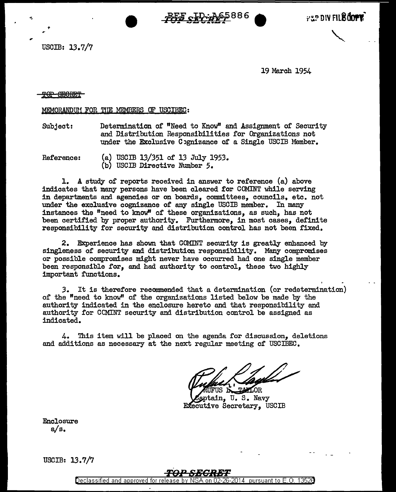<u>PFF CID-A65</u>886

USCIB: 13.7/7

19 March 1954

FIP DIV FIL<sup>8</sup>dore

#### <del>POP SEORET</del>

### MEMORANDUM FOR THE MEMBERS OF USCIBEC:

Subject: Determination of "Need to Know" and Assignment of Security and Distribution Responsibilities for Organizations not under the Exclusive Cognizance of a Single USCIB Member.

Reference: (a) USCIB 13/351 of l3 July 1953. (b) USCIB Directive Number 5.

l. A study of reports received in answer to reference (a) above indicates that many persons have been cleared for COMINT while serving in departments and agencies or on boards, committees, councils, etc. not under the exclusive cognizance of any single USCIB member. In many instances the "need to know" of these organizations, as such, has not been certified by proper authority. Furthermore, in most cases, definite responsibility for security and distribution control has not been fixed.

2. Experience has shown that COMINT security is greatly enhanced by singleness of security and distribution responsibility. Many compromises or possible compromises might never have occurred had one single member been responsible for, and had authority to control, these two highly important functions.

*3.* It is therefore recommended that a determination (or redetermination) of the "need to know" of the organizations listed below be made by the authority indicated in the enclosure hereto and that responsibility and authority for CCMINT security and distribution control be assigned as indicated.

4. This item will be placed on the agenda for discussion, deletions and additions as necessary at the next regular meeting of USCIBEC.

TAXOR FUS IN

aptain. U.S. Navy Executive Secretary, USCIB

Enclosure a/s.

USCIB: 13.7/7

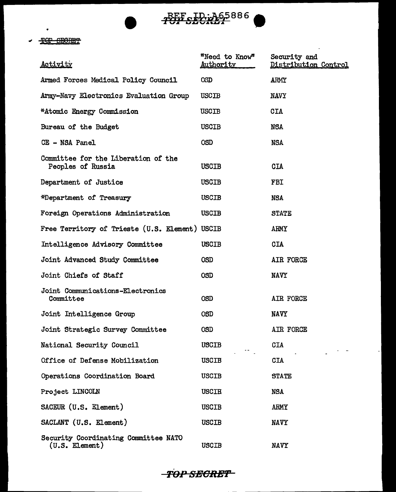

 $\mathcal{L}^{\pm}$ 

## - TOP SECRET

 $\bullet$ 

| <u>Activity</u>                                          | "Need to Know"<br>Authority | Security and<br>Distribution Control |
|----------------------------------------------------------|-----------------------------|--------------------------------------|
| Armed Forces Medical Policy Council                      | <b>OSD</b>                  | ARMY                                 |
| Army-Navy Electronics Evaluation Group                   | USCIB                       | <b>NAVY</b>                          |
| *Atomic Energy Commission                                | USCIB                       | CIA                                  |
| Bureau of the Budget                                     | USCIB                       | NSA                                  |
| CE - NSA Panel                                           | <b>OSD</b>                  | <b>NSA</b>                           |
| Committee for the Liberation of the<br>Peoples of Russia | <b>USCIB</b>                | <b>CIA</b>                           |
| Department of Justice                                    | <b>USCIB</b>                | <b>FBI</b>                           |
| *Department of Treasury                                  | <b>USCIB</b>                | NSA                                  |
| Foreign Operations Administration                        | <b>USCIB</b>                | <b>STATE</b>                         |
| Free Territory of Trieste (U.S. Element) USCIB           |                             | <b>ARMY</b>                          |
| Intelligence Advisory Committee                          | <b>USCIB</b>                | CIA                                  |
| Joint Advanced Study Committee                           | <b>OSD</b>                  | AIR FORCE                            |
| Joint Chiefs of Staff                                    | <b>OSD</b>                  | <b>NAVY</b>                          |
| Joint Communications-Electronics<br>Committee            | <b>OSD</b>                  | AIR FORCE                            |
| Joint Intelligence Group                                 | <b>OSD</b>                  | <b>NAVY</b>                          |
| Joint Strategic Survey Committee                         | <b>OSD</b>                  | AIR FORCE                            |
| National Security Council                                | <b>USCIB</b>                | <b>CIA</b>                           |
| Office of Defense Mobilization                           | <b>USCIB</b>                | <b>CIA</b>                           |
| Operations Coordination Board                            | <b>USCIB</b>                | <b>STATE</b>                         |
| Project LINCOLN                                          | <b>USCIB</b>                | <b>NSA</b>                           |
| SACEUR (U.S. Element)                                    | <b>USCIB</b>                | <b>ARMY</b>                          |
| SACLANT (U.S. Element)                                   | <b>USCIB</b>                | <b>NAVY</b>                          |
| Security Coordinating Committee NATO<br>$(U.S.$ Element) | USCIB                       | <b>NAVY</b>                          |

**-TOP SECRET**